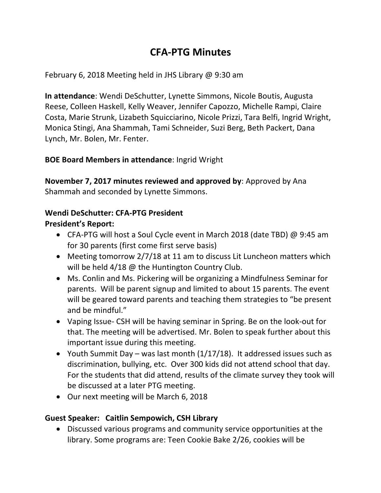# **CFA-PTG Minutes**

February 6, 2018 Meeting held in JHS Library  $\omega$  9:30 am

**In attendance:** Wendi DeSchutter, Lynette Simmons, Nicole Boutis, Augusta Reese, Colleen Haskell, Kelly Weaver, Jennifer Capozzo, Michelle Rampi, Claire Costa, Marie Strunk, Lizabeth Squicciarino, Nicole Prizzi, Tara Belfi, Ingrid Wright, Monica Stingi, Ana Shammah, Tami Schneider, Suzi Berg, Beth Packert, Dana Lynch, Mr. Bolen, Mr. Fenter.

## **BOE Board Members in attendance:** Ingrid Wright

**November 7, 2017 minutes reviewed and approved by:** Approved by Ana Shammah and seconded by Lynette Simmons.

## **Wendi DeSchutter: CFA-PTG President**

## **President's Report:**

- CFA-PTG will host a Soul Cycle event in March 2018 (date TBD) @ 9:45 am for 30 parents (first come first serve basis)
- Meeting tomorrow  $2/7/18$  at 11 am to discuss Lit Luncheon matters which will be held  $4/18$  @ the Huntington Country Club.
- Ms. Conlin and Ms. Pickering will be organizing a Mindfulness Seminar for parents. Will be parent signup and limited to about 15 parents. The event will be geared toward parents and teaching them strategies to "be present and be mindful."
- Vaping Issue- CSH will be having seminar in Spring. Be on the look-out for that. The meeting will be advertised. Mr. Bolen to speak further about this important issue during this meeting.
- Youth Summit Day was last month  $(1/17/18)$ . It addressed issues such as discrimination, bullying, etc. Over 300 kids did not attend school that day. For the students that did attend, results of the climate survey they took will be discussed at a later PTG meeting.
- Our next meeting will be March 6, 2018

## **Guest Speaker: Caitlin Sempowich, CSH Library**

• Discussed various programs and community service opportunities at the library. Some programs are: Teen Cookie Bake 2/26, cookies will be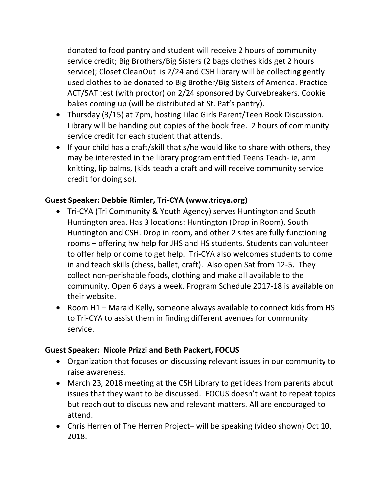donated to food pantry and student will receive 2 hours of community service credit; Big Brothers/Big Sisters (2 bags clothes kids get 2 hours service); Closet CleanOut is 2/24 and CSH library will be collecting gently used clothes to be donated to Big Brother/Big Sisters of America. Practice ACT/SAT test (with proctor) on 2/24 sponsored by Curvebreakers. Cookie bakes coming up (will be distributed at St. Pat's pantry).

- Thursday (3/15) at 7pm, hosting Lilac Girls Parent/Teen Book Discussion. Library will be handing out copies of the book free. 2 hours of community service credit for each student that attends.
- If your child has a craft/skill that  $s/h$ e would like to share with others, they may be interested in the library program entitled Teens Teach- ie, arm knitting, lip balms, (kids teach a craft and will receive community service credit for doing so).

## **Guest Speaker: Debbie Rimler, Tri-CYA (www.tricya.org)**

- Tri-CYA (Tri Community & Youth Agency) serves Huntington and South Huntington area. Has 3 locations: Huntington (Drop in Room), South Huntington and CSH. Drop in room, and other 2 sites are fully functioning rooms – offering hw help for JHS and HS students. Students can volunteer to offer help or come to get help. Tri-CYA also welcomes students to come in and teach skills (chess, ballet, craft). Also open Sat from 12-5. They collect non-perishable foods, clothing and make all available to the community. Open 6 days a week. Program Schedule 2017-18 is available on their website.
- Room H1 Maraid Kelly, someone always available to connect kids from HS to Tri-CYA to assist them in finding different avenues for community service.

#### **Guest Speaker: Nicole Prizzi and Beth Packert, FOCUS**

- Organization that focuses on discussing relevant issues in our community to raise awareness.
- March 23, 2018 meeting at the CSH Library to get ideas from parents about issues that they want to be discussed. FOCUS doesn't want to repeat topics but reach out to discuss new and relevant matters. All are encouraged to attend.
- Chris Herren of The Herren Project– will be speaking (video shown) Oct 10, 2018.